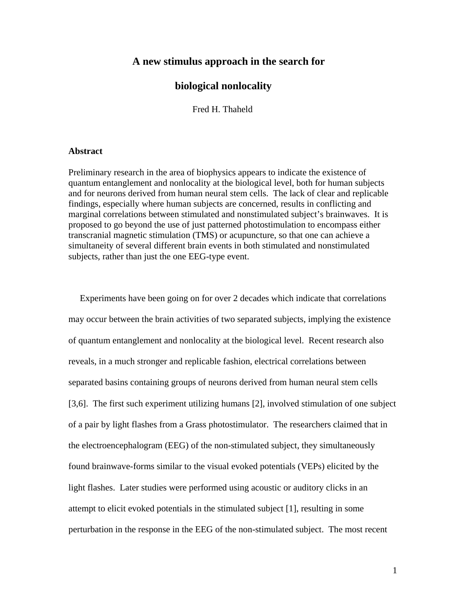## **A new stimulus approach in the search for**

## **biological nonlocality**

Fred H. Thaheld

## **Abstract**

Preliminary research in the area of biophysics appears to indicate the existence of quantum entanglement and nonlocality at the biological level, both for human subjects and for neurons derived from human neural stem cells. The lack of clear and replicable findings, especially where human subjects are concerned, results in conflicting and marginal correlations between stimulated and nonstimulated subject's brainwaves. It is proposed to go beyond the use of just patterned photostimulation to encompass either transcranial magnetic stimulation (TMS) or acupuncture, so that one can achieve a simultaneity of several different brain events in both stimulated and nonstimulated subjects, rather than just the one EEG-type event.

 Experiments have been going on for over 2 decades which indicate that correlations may occur between the brain activities of two separated subjects, implying the existence of quantum entanglement and nonlocality at the biological level. Recent research also reveals, in a much stronger and replicable fashion, electrical correlations between separated basins containing groups of neurons derived from human neural stem cells [3,6]. The first such experiment utilizing humans [2], involved stimulation of one subject of a pair by light flashes from a Grass photostimulator. The researchers claimed that in the electroencephalogram (EEG) of the non-stimulated subject, they simultaneously found brainwave-forms similar to the visual evoked potentials (VEPs) elicited by the light flashes. Later studies were performed using acoustic or auditory clicks in an attempt to elicit evoked potentials in the stimulated subject [1], resulting in some perturbation in the response in the EEG of the non-stimulated subject. The most recent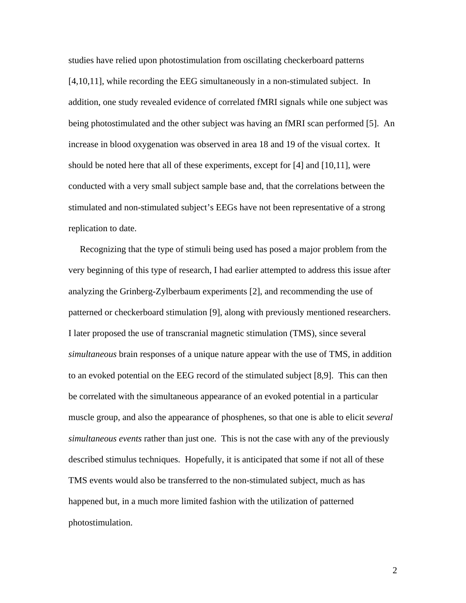studies have relied upon photostimulation from oscillating checkerboard patterns [4,10,11], while recording the EEG simultaneously in a non-stimulated subject. In addition, one study revealed evidence of correlated fMRI signals while one subject was being photostimulated and the other subject was having an fMRI scan performed [5]. An increase in blood oxygenation was observed in area 18 and 19 of the visual cortex. It should be noted here that all of these experiments, except for [4] and [10,11], were conducted with a very small subject sample base and, that the correlations between the stimulated and non-stimulated subject's EEGs have not been representative of a strong replication to date.

 Recognizing that the type of stimuli being used has posed a major problem from the very beginning of this type of research, I had earlier attempted to address this issue after analyzing the Grinberg-Zylberbaum experiments [2], and recommending the use of patterned or checkerboard stimulation [9], along with previously mentioned researchers. I later proposed the use of transcranial magnetic stimulation (TMS), since several *simultaneous* brain responses of a unique nature appear with the use of TMS, in addition to an evoked potential on the EEG record of the stimulated subject [8,9]. This can then be correlated with the simultaneous appearance of an evoked potential in a particular muscle group, and also the appearance of phosphenes, so that one is able to elicit *several simultaneous events* rather than just one. This is not the case with any of the previously described stimulus techniques. Hopefully, it is anticipated that some if not all of these TMS events would also be transferred to the non-stimulated subject, much as has happened but, in a much more limited fashion with the utilization of patterned photostimulation.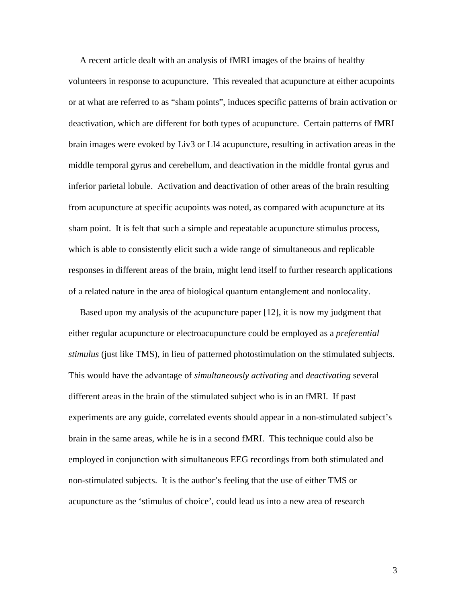A recent article dealt with an analysis of fMRI images of the brains of healthy volunteers in response to acupuncture. This revealed that acupuncture at either acupoints or at what are referred to as "sham points", induces specific patterns of brain activation or deactivation, which are different for both types of acupuncture. Certain patterns of fMRI brain images were evoked by Liv3 or LI4 acupuncture, resulting in activation areas in the middle temporal gyrus and cerebellum, and deactivation in the middle frontal gyrus and inferior parietal lobule. Activation and deactivation of other areas of the brain resulting from acupuncture at specific acupoints was noted, as compared with acupuncture at its sham point. It is felt that such a simple and repeatable acupuncture stimulus process, which is able to consistently elicit such a wide range of simultaneous and replicable responses in different areas of the brain, might lend itself to further research applications of a related nature in the area of biological quantum entanglement and nonlocality.

 Based upon my analysis of the acupuncture paper [12], it is now my judgment that either regular acupuncture or electroacupuncture could be employed as a *preferential stimulus* (just like TMS), in lieu of patterned photostimulation on the stimulated subjects. This would have the advantage of *simultaneously activating* and *deactivating* several different areas in the brain of the stimulated subject who is in an fMRI. If past experiments are any guide, correlated events should appear in a non-stimulated subject's brain in the same areas, while he is in a second fMRI. This technique could also be employed in conjunction with simultaneous EEG recordings from both stimulated and non-stimulated subjects. It is the author's feeling that the use of either TMS or acupuncture as the 'stimulus of choice', could lead us into a new area of research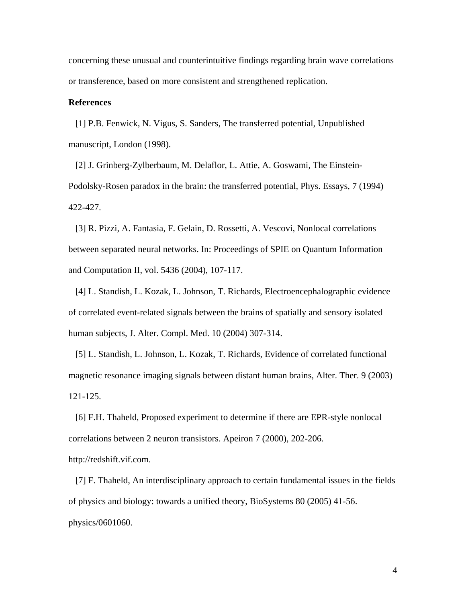concerning these unusual and counterintuitive findings regarding brain wave correlations or transference, based on more consistent and strengthened replication.

## **References**

 [1] P.B. Fenwick, N. Vigus, S. Sanders, The transferred potential, Unpublished manuscript, London (1998).

 [2] J. Grinberg-Zylberbaum, M. Delaflor, L. Attie, A. Goswami, The Einstein-Podolsky-Rosen paradox in the brain: the transferred potential, Phys. Essays, 7 (1994) 422-427.

 [3] R. Pizzi, A. Fantasia, F. Gelain, D. Rossetti, A. Vescovi, Nonlocal correlations between separated neural networks. In: Proceedings of SPIE on Quantum Information and Computation II, vol. 5436 (2004), 107-117.

 [4] L. Standish, L. Kozak, L. Johnson, T. Richards, Electroencephalographic evidence of correlated event-related signals between the brains of spatially and sensory isolated human subjects, J. Alter. Compl. Med. 10 (2004) 307-314.

 [5] L. Standish, L. Johnson, L. Kozak, T. Richards, Evidence of correlated functional magnetic resonance imaging signals between distant human brains, Alter. Ther. 9 (2003) 121-125.

 [6] F.H. Thaheld, Proposed experiment to determine if there are EPR-style nonlocal correlations between 2 neuron transistors. Apeiron 7 (2000), 202-206. http://redshift.vif.com.

 [7] F. Thaheld, An interdisciplinary approach to certain fundamental issues in the fields of physics and biology: towards a unified theory, BioSystems 80 (2005) 41-56. physics/0601060.